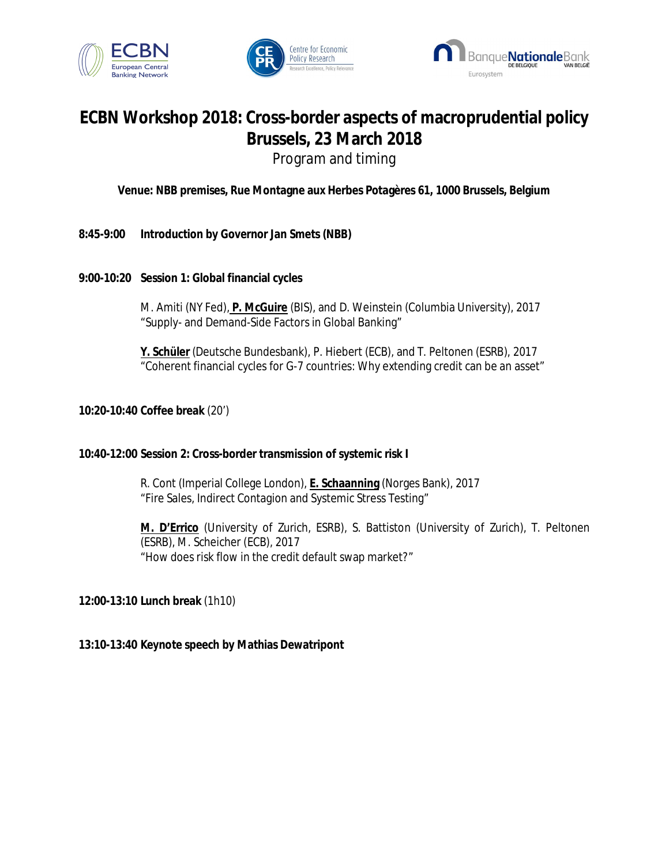





## **ECBN Workshop 2018: Cross-border aspects of macroprudential policy Brussels, 23 March 2018**  Program and timing

**Venue: NBB premises, Rue Montagne aux Herbes Potagères 61, 1000 Brussels, Belgium** 

- **8:45-9:00 Introduction by Governor Jan Smets (NBB)**
- **9:00-10:20 Session 1: Global financial cycles**

M. Amiti (NY Fed), **P. McGuire** (BIS), and D. Weinstein (Columbia University), 2017 "Supply- and Demand-Side Factors in Global Banking"

**Y. Schüler** (Deutsche Bundesbank), P. Hiebert (ECB), and T. Peltonen (ESRB), 2017 "Coherent financial cycles for G-7 countries: Why extending credit can be an asset"

**10:20-10:40 Coffee break** (20')

**10:40-12:00 Session 2: Cross-border transmission of systemic risk I** 

R. Cont (Imperial College London), **E. Schaanning** (Norges Bank), 2017 "Fire Sales, Indirect Contagion and Systemic Stress Testing"

**M. D'Errico** (University of Zurich, ESRB), S. Battiston (University of Zurich), T. Peltonen (ESRB), M. Scheicher (ECB), 2017 "How does risk flow in the credit default swap market?"

**12:00-13:10 Lunch break** (1h10)

**13:10-13:40 Keynote speech by Mathias Dewatripont**